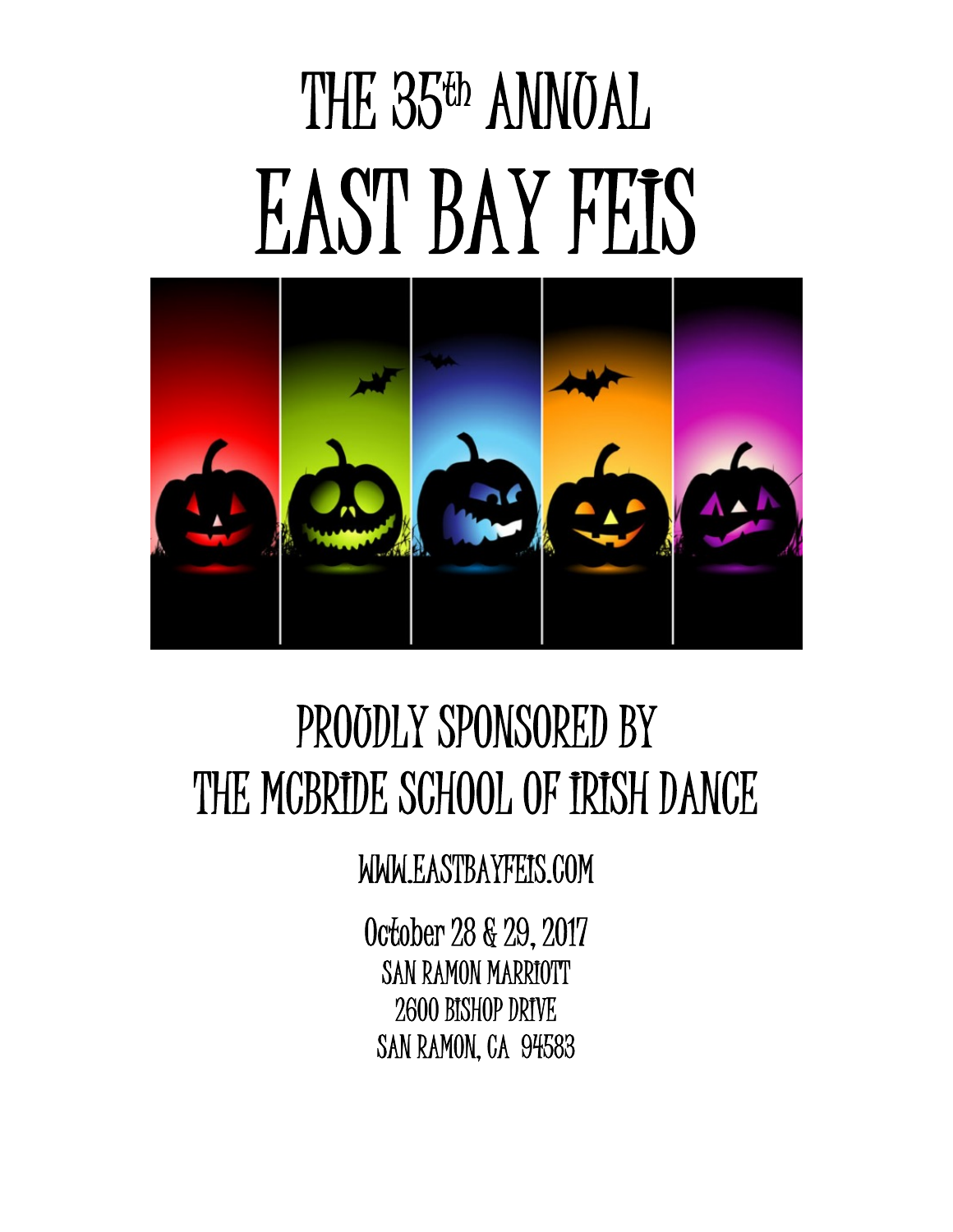# THE 35<sup>th</sup> ANNUAL EAST BAY FEIS



## PROUDLY SPONSORED BY THE MCBRIDE SCHOOL OF IRISH DANCE

WWW.EASTBAYFEIS.COM

October 28 & 29, 2017 SAN RAMON MARRIOTT 2600 BISHOP DRIVE SAN RAMON, CA 94583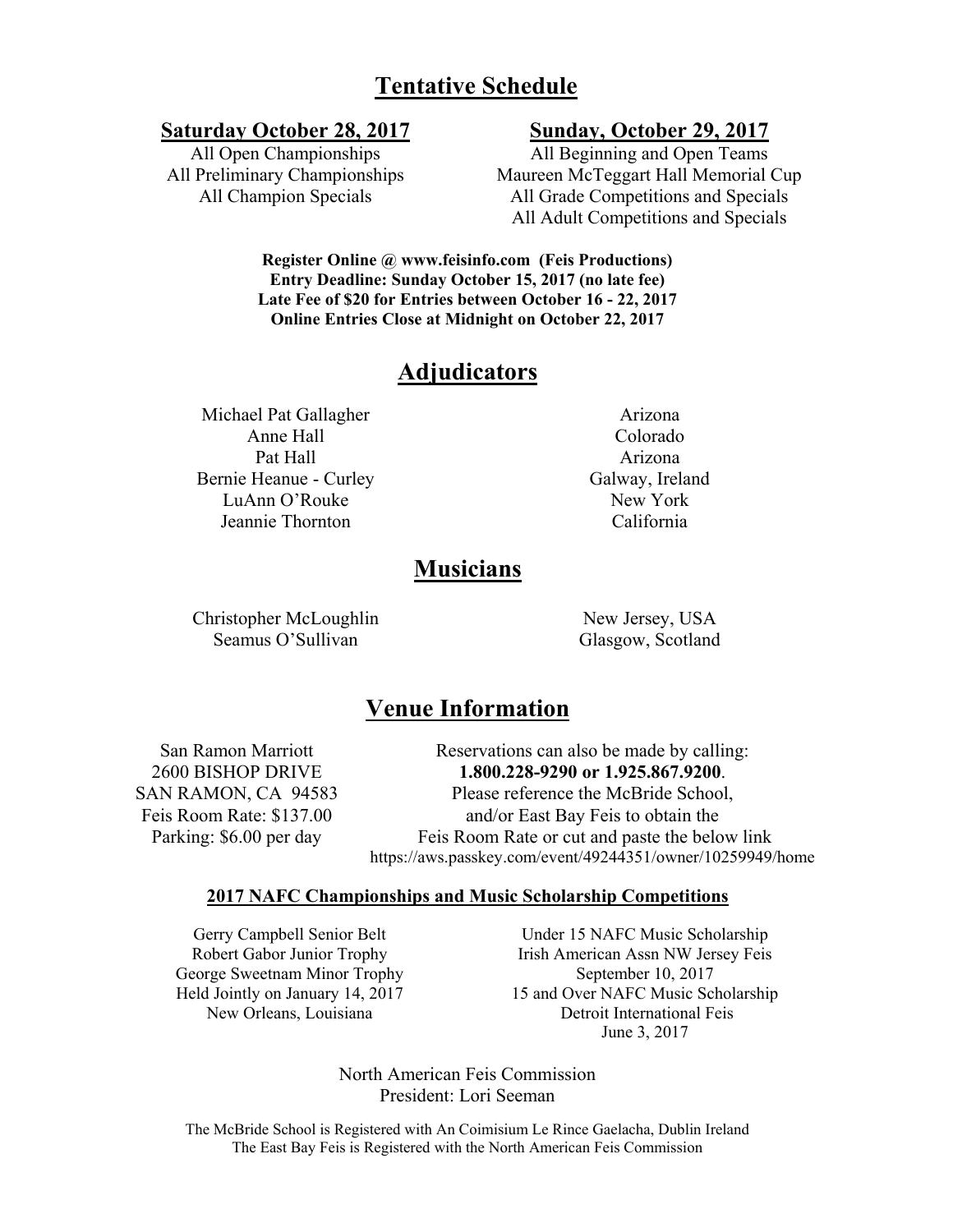#### **Tentative Schedule**

#### **Saturday October 28, 2017 Sunday, October 29, 2017**

All Open Championships All Preliminary Championships All Champion Specials

All Beginning and Open Teams Maureen McTeggart Hall Memorial Cup All Grade Competitions and Specials All Adult Competitions and Specials

**Register Online @ www.feisinfo.com (Feis Productions) Entry Deadline: Sunday October 15, 2017 (no late fee) Late Fee of \$20 for Entries between October 16 - 22, 2017 Online Entries Close at Midnight on October 22, 2017**

#### **Adjudicators**

Michael Pat Gallagher Anne Hall Pat Hall Arizona Bernie Heanue - Curley Galway, Ireland LuAnn O'Rouke New York Jeannie Thornton California

Arizona Colorado

#### **Musicians**

Christopher McLoughlin New Jersey, USA Seamus O'Sullivan Glasgow, Scotland

#### **Venue Information**

San Ramon Marriott 2600 BISHOP DRIVE SAN RAMON, CA 94583 Feis Room Rate: \$137.00 Parking: \$6.00 per day

Reservations can also be made by calling: **1.800.228-9290 or 1.925.867.9200**. Please reference the McBride School, and/or East Bay Feis to obtain the Feis Room Rate or cut and paste the below link https://aws.passkey.com/event/49244351/owner/10259949/home

#### **2017 NAFC Championships and Music Scholarship Competitions**

Gerry Campbell Senior Belt Robert Gabor Junior Trophy George Sweetnam Minor Trophy Held Jointly on January 14, 2017 New Orleans, Louisiana

Under 15 NAFC Music Scholarship Irish American Assn NW Jersey Feis September 10, 2017 15 and Over NAFC Music Scholarship Detroit International Feis June 3, 2017

North American Feis Commission President: Lori Seeman

The McBride School is Registered with An Coimisium Le Rince Gaelacha, Dublin Ireland The East Bay Feis is Registered with the North American Feis Commission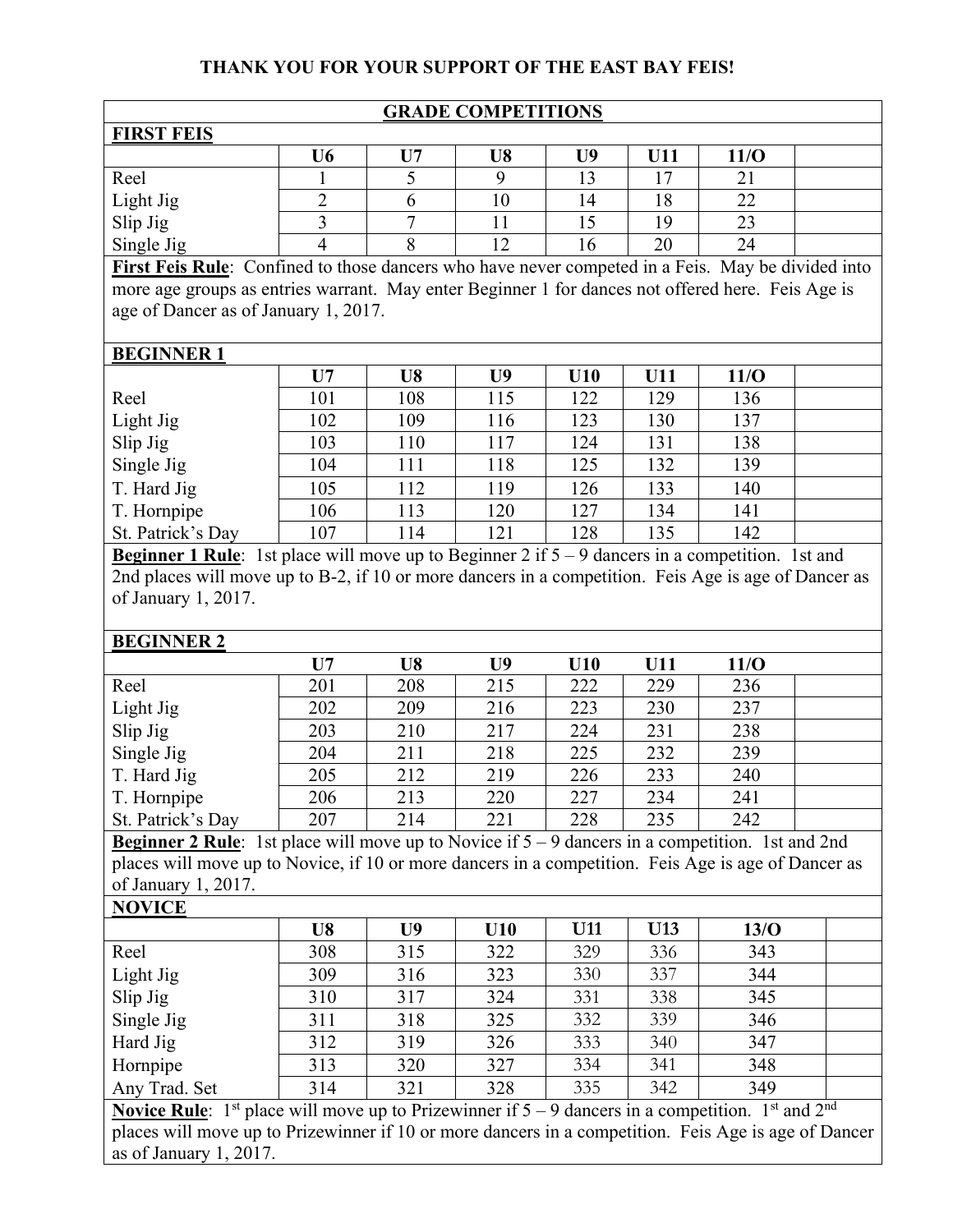#### **THANK YOU FOR YOUR SUPPORT OF THE EAST BAY FEIS!**

| <b>GRADE COMPETITIONS</b>                                                                         |                               |     |    |                |     |      |  |  |
|---------------------------------------------------------------------------------------------------|-------------------------------|-----|----|----------------|-----|------|--|--|
| <b>FIRST FEIS</b>                                                                                 |                               |     |    |                |     |      |  |  |
|                                                                                                   | U6                            | II7 | U8 | U <sub>9</sub> | U11 | 11/O |  |  |
| Reel                                                                                              |                               |     | 9  | 13             | 17  | 21   |  |  |
| Light Jig                                                                                         | $\mathfrak{D}_{\mathfrak{p}}$ |     | 10 | 14             | 18  | 22   |  |  |
| Slip Jig                                                                                          | 3                             |     | 11 | 15             | 19  | 23   |  |  |
| Single Jig                                                                                        |                               | 8   | 12 | 16             | 20  | 24   |  |  |
| First Feis Rule: Confined to those dancers who have never competed in a Feis. May be divided into |                               |     |    |                |     |      |  |  |
| more age groups as entries warrant. May enter Beginner 1 for dances not offered here. Feis Age is |                               |     |    |                |     |      |  |  |
| age of Dancer as of January 1, 2017.                                                              |                               |     |    |                |     |      |  |  |
|                                                                                                   |                               |     |    |                |     |      |  |  |
| <b>BEGINNER1</b>                                                                                  |                               |     |    |                |     |      |  |  |
|                                                                                                   | U7                            | U8  | U9 | U10            | U11 | 11/O |  |  |

|                   | U7  | U8  | U9  | U I V | UH  | 11/U |  |
|-------------------|-----|-----|-----|-------|-----|------|--|
| Reel              | 101 | 108 | 115 | 122   | 129 | 136  |  |
| Light Jig         | 102 | 109 | 116 | 123   | 130 | 137  |  |
| Slip Jig          | 103 | 110 | 117 | 124   | 131 | 138  |  |
| Single Jig        | 104 | 111 | 118 | 125   | 132 | 139  |  |
| T. Hard Jig       | 105 | 112 | 119 | 126   | 133 | 140  |  |
| T. Hornpipe       | 106 | 113 | 120 | 127   | 134 | 141  |  |
| St. Patrick's Day | 107 | .14 | 121 | 128   | 135 | 142  |  |

**Beginner 1 Rule**: 1st place will move up to Beginner 2 if  $5 - 9$  dancers in a competition. 1st and 2nd places will move up to B-2, if 10 or more dancers in a competition. Feis Age is age of Dancer as of January 1, 2017.

#### **BEGINNER 2**

|                   | U7  | U8  | U9  | U10 | U11 | 11/O |  |
|-------------------|-----|-----|-----|-----|-----|------|--|
| Reel              | 201 | 208 | 215 | 222 | 229 | 236  |  |
| Light Jig         | 202 | 209 | 216 | 223 | 230 | 237  |  |
| Slip Jig          | 203 | 210 | 217 | 224 | 231 | 238  |  |
| Single Jig        | 204 | 211 | 218 | 225 | 232 | 239  |  |
| T. Hard Jig       | 205 | 212 | 219 | 226 | 233 | 240  |  |
| T. Hornpipe       | 206 | 213 | 220 | 227 | 234 | 241  |  |
| St. Patrick's Day | 207 | 214 | 221 | 228 | 235 | 242  |  |

**Beginner 2 Rule**: 1st place will move up to Novice if  $5 - 9$  dancers in a competition. 1st and 2nd places will move up to Novice, if 10 or more dancers in a competition. Feis Age is age of Dancer as of January 1, 2017.

|                                            | U8              | U9             | U10                   | <b>U11</b> | <b>U13</b> | 13/O                                           |  |
|--------------------------------------------|-----------------|----------------|-----------------------|------------|------------|------------------------------------------------|--|
| Reel                                       | 308             | 315            | 322                   | 329        | 336        | 343                                            |  |
| Light Jig                                  | 309             | 316            | 323                   | 330        | 337        | 344                                            |  |
| Slip Jig                                   | 310             | 317            | 324                   | 331        | 338        | 345                                            |  |
| Single Jig                                 | 311             | 318            | 325                   | 332        | 339        | 346                                            |  |
| Hard Jig                                   | 312             | 319            | 326                   | 333        | 340        | 347                                            |  |
| Hornpipe                                   | 313             | 320            | 327                   | 334        | 341        | 348                                            |  |
| Any Trad. Set                              | 314             | 321            | 328                   | 335        | 342        | 349                                            |  |
| $\mathbf{M}$ . $\mathbf{D}$ . $\mathbf{I}$ | $^{\bullet}$ 11 | $\mathbf{r}$ . | $\cdot$ $\sim$ $\sim$ | $\wedge$ 1 |            | 1 st<br>$1$ and<br>$\mathbf{1}$ , $\mathbf{2}$ |  |

**Novice Rule**:  $1^{st}$  place will move up to Prizewinner if  $5 - 9$  dancers in a competition.  $1^{st}$  and  $2^{nd}$ places will move up to Prizewinner if 10 or more dancers in a competition. Feis Age is age of Dancer as of January 1, 2017.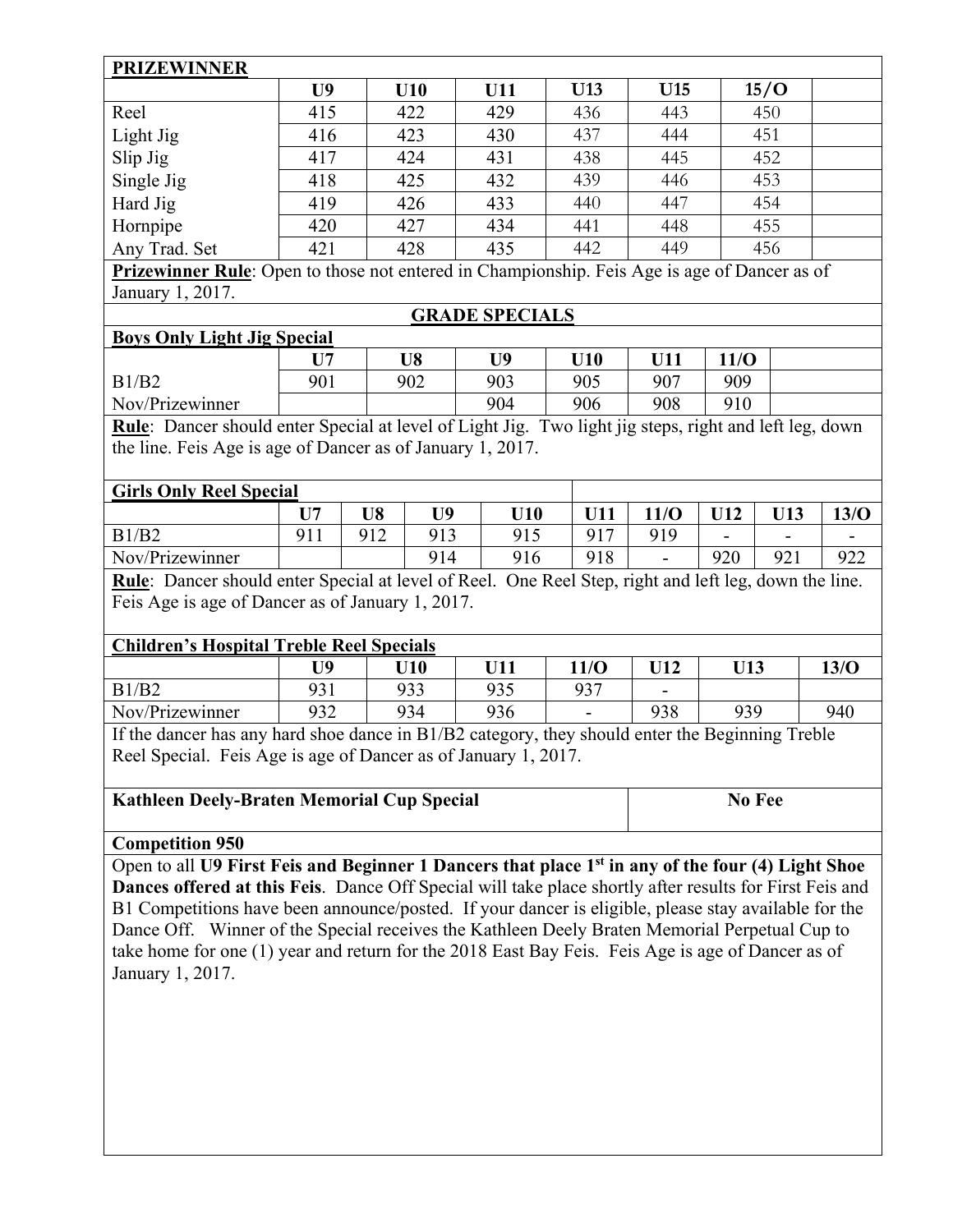#### **PRIZEWINNER**

|                                                                                                     | U9  | U10 | U11 | U13 | U15 | 15/O |  |
|-----------------------------------------------------------------------------------------------------|-----|-----|-----|-----|-----|------|--|
| Reel                                                                                                | 415 | 422 | 429 | 436 | 443 | 450  |  |
| Light Jig                                                                                           | 416 | 423 | 430 | 437 | 444 | 451  |  |
| Slip Jig                                                                                            | 417 | 424 | 431 | 438 | 445 | 452  |  |
| Single Jig                                                                                          | 418 | 425 | 432 | 439 | 446 | 453  |  |
| Hard Jig                                                                                            | 419 | 426 | 433 | 440 | 447 | 454  |  |
| Hornpipe                                                                                            | 420 | 427 | 434 | 441 | 448 | 455  |  |
| Any Trad. Set                                                                                       | 421 | 428 | 435 | 442 | 449 | 456  |  |
| <b>Prizewinner Rule:</b> Open to those not entered in Championship. Feis Age is age of Dancer as of |     |     |     |     |     |      |  |
| January 1, 2017.                                                                                    |     |     |     |     |     |      |  |

#### **GRADE SPECIALS**

#### **Boys Only Light Jig Special**

|                 | T TĦ | U8  | U9  | U10 | TT11<br>' 1 1 | 11/O |  |
|-----------------|------|-----|-----|-----|---------------|------|--|
| B1/B2           | 901  | 902 | 903 | 905 | 907           | 909  |  |
| Nov/Prizewinner |      |     | 904 | 906 | 908           | 910  |  |

**Rule**: Dancer should enter Special at level of Light Jig. Two light jig steps, right and left leg, down the line. Feis Age is age of Dancer as of January 1, 2017.

| <b>Girls Only Reel Special</b> |              |     |                                    |     |     |      |                          |     |      |
|--------------------------------|--------------|-----|------------------------------------|-----|-----|------|--------------------------|-----|------|
|                                | T ⊺ <i>⊓</i> | U8  | TJQ.                               | U10 |     | 11/0 | $\Pi$ 12                 |     | 13/0 |
| B1/B2                          | Q1           | 012 | 913                                | 915 | Q17 | 919  | $\overline{\phantom{a}}$ | -   |      |
| Nov/Prizewinner                |              |     | 914                                | 916 | 918 | -    | 920                      | 921 | 922  |
| .<br>$\sim$                    |              | .   | $\sim$ $\sim$ $\sim$ $\sim$ $\sim$ |     |     | . .  | .                        |     | .    |

**Rule**: Dancer should enter Special at level of Reel. One Reel Step, right and left leg, down the line. Feis Age is age of Dancer as of January 1, 2017.

#### **Children's Hospital Treble Reel Specials**

|                 | <b>TIQ</b>     | U10 | T T 1 1<br>U L L | 11 $\Omega$<br>$\bf{1}/\bf{U}$ | TT12<br>$\mathbf{L}$     | U13 | 13/0 |
|-----------------|----------------|-----|------------------|--------------------------------|--------------------------|-----|------|
| B1/B2           | ∩ ገ 1<br>, , i | 933 | 935<br>ر ر ,     | 937<br>ا ب                     | $\overline{\phantom{0}}$ |     |      |
| Nov/Prizewinner | 932            | 934 | 936              | $\overline{\phantom{0}}$       | 938                      | 939 | 940  |

If the dancer has any hard shoe dance in B1/B2 category, they should enter the Beginning Treble Reel Special. Feis Age is age of Dancer as of January 1, 2017.

#### Kathleen Deely-Braten Memorial Cup Special **No Fee No Fee**

#### **Competition 950**

Open to all **U9 First Feis and Beginner 1 Dancers that place 1st in any of the four (4) Light Shoe Dances offered at this Feis**. Dance Off Special will take place shortly after results for First Feis and B1 Competitions have been announce/posted. If your dancer is eligible, please stay available for the Dance Off. Winner of the Special receives the Kathleen Deely Braten Memorial Perpetual Cup to take home for one (1) year and return for the 2018 East Bay Feis. Feis Age is age of Dancer as of January 1, 2017.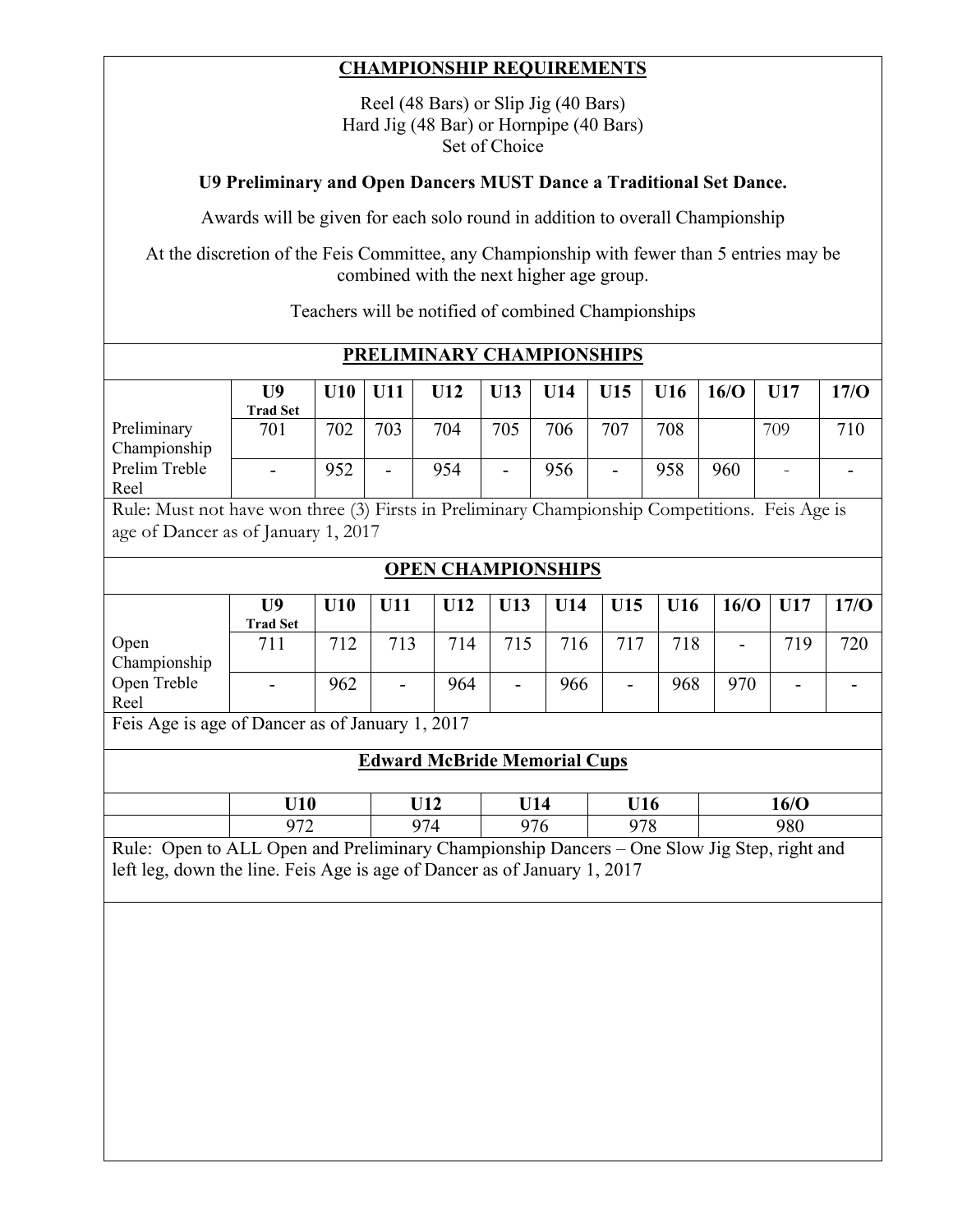#### **CHAMPIONSHIP REQUIREMENTS**

Reel (48 Bars) or Slip Jig (40 Bars) Hard Jig (48 Bar) or Hornpipe (40 Bars) Set of Choice

#### **U9 Preliminary and Open Dancers MUST Dance a Traditional Set Dance.**

Awards will be given for each solo round in addition to overall Championship

At the discretion of the Feis Committee, any Championship with fewer than 5 entries may be combined with the next higher age group.

Teachers will be notified of combined Championships

|                                                                                                                                       |                                   |     |                | PRELIMINARY CHAMPIONSHIPS           |                |            |                          |     |                                                                                                   |                |      |
|---------------------------------------------------------------------------------------------------------------------------------------|-----------------------------------|-----|----------------|-------------------------------------|----------------|------------|--------------------------|-----|---------------------------------------------------------------------------------------------------|----------------|------|
|                                                                                                                                       | U <sub>9</sub><br><b>Trad Set</b> | U10 | <b>U11</b>     | U12                                 | U13            | U14        | U15                      | U16 | 16/O                                                                                              | U17            | 17/O |
| Preliminary<br>Championship                                                                                                           | 701                               | 702 | 703            | 704                                 | 705            | 706        | 707                      | 708 |                                                                                                   | 709            | 710  |
| Prelim Treble<br>Reel                                                                                                                 |                                   | 952 |                | 954                                 |                | 956        |                          | 958 | 960                                                                                               |                |      |
| Rule: Must not have won three (3) Firsts in Preliminary Championship Competitions. Feis Age is<br>age of Dancer as of January 1, 2017 |                                   |     |                |                                     |                |            |                          |     |                                                                                                   |                |      |
|                                                                                                                                       |                                   |     |                | <b>OPEN CHAMPIONSHIPS</b>           |                |            |                          |     |                                                                                                   |                |      |
|                                                                                                                                       | U <sub>9</sub><br><b>Trad Set</b> | U10 | U11            | U12                                 | U13            | U14        | U15                      | U16 | 16/O                                                                                              | U17            | 17/O |
| Open<br>Championship                                                                                                                  | 711                               | 712 | 713            | 714                                 | 715            | 716        | 717                      | 718 |                                                                                                   | 719            | 720  |
| Open Treble<br>Reel                                                                                                                   |                                   | 962 | $\overline{a}$ | 964                                 | $\blacksquare$ | 966        | $\overline{\phantom{a}}$ | 968 | 970                                                                                               | $\blacksquare$ |      |
| Feis Age is age of Dancer as of January 1, 2017                                                                                       |                                   |     |                |                                     |                |            |                          |     |                                                                                                   |                |      |
|                                                                                                                                       |                                   |     |                | <b>Edward McBride Memorial Cups</b> |                |            |                          |     |                                                                                                   |                |      |
|                                                                                                                                       | U10                               |     |                | U12                                 | U14            |            | U16                      |     | 16/O                                                                                              |                |      |
|                                                                                                                                       | 972                               |     |                | 974                                 |                | 978<br>976 |                          |     | 980<br>Rule: Open to ALL Open and Preliminary Championship Dancers - One Slow Jig Step, right and |                |      |
| left leg, down the line. Feis Age is age of Dancer as of January 1, 2017                                                              |                                   |     |                |                                     |                |            |                          |     |                                                                                                   |                |      |
|                                                                                                                                       |                                   |     |                |                                     |                |            |                          |     |                                                                                                   |                |      |
|                                                                                                                                       |                                   |     |                |                                     |                |            |                          |     |                                                                                                   |                |      |
|                                                                                                                                       |                                   |     |                |                                     |                |            |                          |     |                                                                                                   |                |      |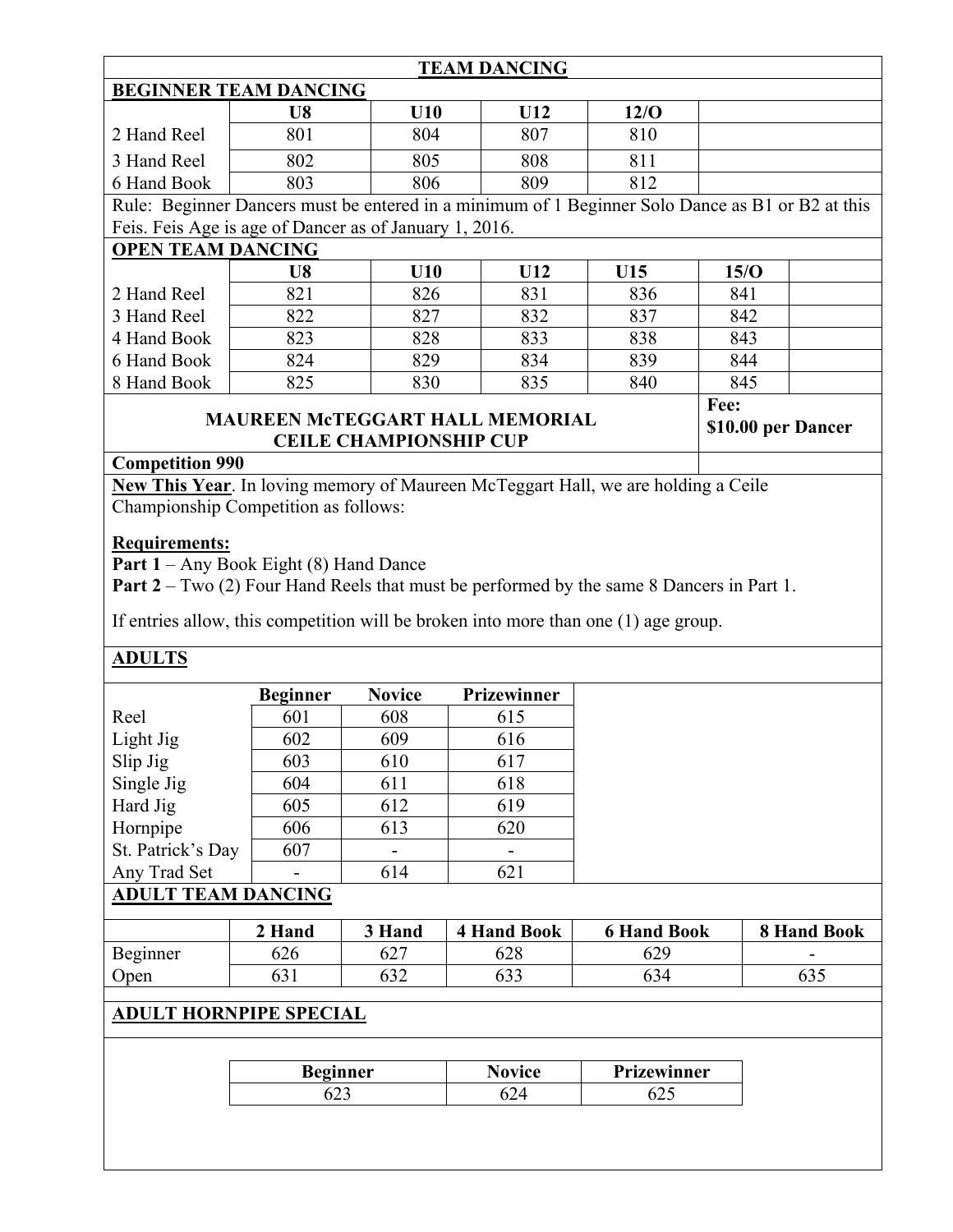|                                                        |                                                                                               |               | <b>TEAM DANCING</b>                                                                      |                    |                                                                                                  |  |  |  |  |
|--------------------------------------------------------|-----------------------------------------------------------------------------------------------|---------------|------------------------------------------------------------------------------------------|--------------------|--------------------------------------------------------------------------------------------------|--|--|--|--|
| <b>BEGINNER TEAM DANCING</b>                           |                                                                                               |               |                                                                                          |                    |                                                                                                  |  |  |  |  |
|                                                        | U8                                                                                            | U10           | U12                                                                                      | 12/O               |                                                                                                  |  |  |  |  |
| 2 Hand Reel                                            | 801                                                                                           | 804           | 807                                                                                      | 810                |                                                                                                  |  |  |  |  |
| 3 Hand Reel                                            | 802                                                                                           | 805           | 808                                                                                      | 811                |                                                                                                  |  |  |  |  |
| 6 Hand Book                                            | 803                                                                                           | 806           | 809                                                                                      | 812                |                                                                                                  |  |  |  |  |
|                                                        |                                                                                               |               |                                                                                          |                    | Rule: Beginner Dancers must be entered in a minimum of 1 Beginner Solo Dance as B1 or B2 at this |  |  |  |  |
| Feis. Feis Age is age of Dancer as of January 1, 2016. |                                                                                               |               |                                                                                          |                    |                                                                                                  |  |  |  |  |
| <b>OPEN TEAM DANCING</b>                               |                                                                                               |               |                                                                                          |                    |                                                                                                  |  |  |  |  |
|                                                        | U8                                                                                            | U10           | U12                                                                                      | U15                | 15/O                                                                                             |  |  |  |  |
| 2 Hand Reel                                            | 821                                                                                           | 826           | 831                                                                                      | 836                | 841                                                                                              |  |  |  |  |
| 3 Hand Reel                                            | 822                                                                                           | 827           | 832                                                                                      | 837                | 842                                                                                              |  |  |  |  |
| 4 Hand Book                                            | 823                                                                                           | 828           | 833                                                                                      | 838                | 843                                                                                              |  |  |  |  |
| 6 Hand Book                                            | 824                                                                                           | 829           | 834                                                                                      | 839                | 844                                                                                              |  |  |  |  |
| 8 Hand Book                                            | 825                                                                                           | 830           | 835                                                                                      | 840                | 845                                                                                              |  |  |  |  |
|                                                        |                                                                                               |               |                                                                                          |                    | Fee:                                                                                             |  |  |  |  |
|                                                        | <b>MAUREEN MCTEGGART HALL MEMORIAL</b><br>\$10.00 per Dancer<br><b>CEILE CHAMPIONSHIP CUP</b> |               |                                                                                          |                    |                                                                                                  |  |  |  |  |
|                                                        |                                                                                               |               |                                                                                          |                    |                                                                                                  |  |  |  |  |
| <b>Competition 990</b>                                 |                                                                                               |               |                                                                                          |                    |                                                                                                  |  |  |  |  |
|                                                        |                                                                                               |               | New This Year. In loving memory of Maureen McTeggart Hall, we are holding a Ceile        |                    |                                                                                                  |  |  |  |  |
| Championship Competition as follows:                   |                                                                                               |               |                                                                                          |                    |                                                                                                  |  |  |  |  |
| <b>Requirements:</b>                                   |                                                                                               |               |                                                                                          |                    |                                                                                                  |  |  |  |  |
| Part 1 - Any Book Eight (8) Hand Dance                 |                                                                                               |               |                                                                                          |                    |                                                                                                  |  |  |  |  |
|                                                        |                                                                                               |               | Part 2 – Two (2) Four Hand Reels that must be performed by the same 8 Dancers in Part 1. |                    |                                                                                                  |  |  |  |  |
|                                                        |                                                                                               |               |                                                                                          |                    |                                                                                                  |  |  |  |  |
|                                                        |                                                                                               |               | If entries allow, this competition will be broken into more than one (1) age group.      |                    |                                                                                                  |  |  |  |  |
| <b>ADULTS</b>                                          |                                                                                               |               |                                                                                          |                    |                                                                                                  |  |  |  |  |
|                                                        | <b>Beginner</b>                                                                               | <b>Novice</b> | Prizewinner                                                                              |                    |                                                                                                  |  |  |  |  |
| Reel                                                   | 601                                                                                           | 608           | 615                                                                                      |                    |                                                                                                  |  |  |  |  |
| Light Jig                                              | 602                                                                                           | 609           | 616                                                                                      |                    |                                                                                                  |  |  |  |  |
| Slip Jig                                               | 603                                                                                           | 610           | 617                                                                                      |                    |                                                                                                  |  |  |  |  |
| Single Jig                                             | 604                                                                                           | 611           | 618                                                                                      |                    |                                                                                                  |  |  |  |  |
| Hard Jig                                               | 605                                                                                           | 612           | 619                                                                                      |                    |                                                                                                  |  |  |  |  |
| Hornpipe                                               | 606                                                                                           | 613           | 620                                                                                      |                    |                                                                                                  |  |  |  |  |
| St. Patrick's Day                                      | 607                                                                                           |               |                                                                                          |                    |                                                                                                  |  |  |  |  |
| Any Trad Set                                           |                                                                                               | 614           | 621                                                                                      |                    |                                                                                                  |  |  |  |  |
| <b>ADULT TEAM DANCING</b>                              |                                                                                               |               |                                                                                          |                    |                                                                                                  |  |  |  |  |
|                                                        |                                                                                               |               |                                                                                          |                    |                                                                                                  |  |  |  |  |
|                                                        | 2 Hand                                                                                        | 3 Hand        | <b>4 Hand Book</b>                                                                       | <b>6 Hand Book</b> | 8 Hand Book                                                                                      |  |  |  |  |
| Beginner                                               | 626                                                                                           | 627           | 628                                                                                      | 629                |                                                                                                  |  |  |  |  |
| Open                                                   | 631                                                                                           | 632           | 633                                                                                      | 634                | 635                                                                                              |  |  |  |  |
|                                                        |                                                                                               |               |                                                                                          |                    |                                                                                                  |  |  |  |  |
| <b>ADULT HORNPIPE SPECIAL</b>                          |                                                                                               |               |                                                                                          |                    |                                                                                                  |  |  |  |  |
|                                                        |                                                                                               |               |                                                                                          |                    |                                                                                                  |  |  |  |  |
|                                                        | <b>Beginner</b>                                                                               |               | <b>Novice</b>                                                                            | Prizewinner        |                                                                                                  |  |  |  |  |
|                                                        | 623                                                                                           |               | 624                                                                                      | 625                |                                                                                                  |  |  |  |  |
|                                                        |                                                                                               |               |                                                                                          |                    |                                                                                                  |  |  |  |  |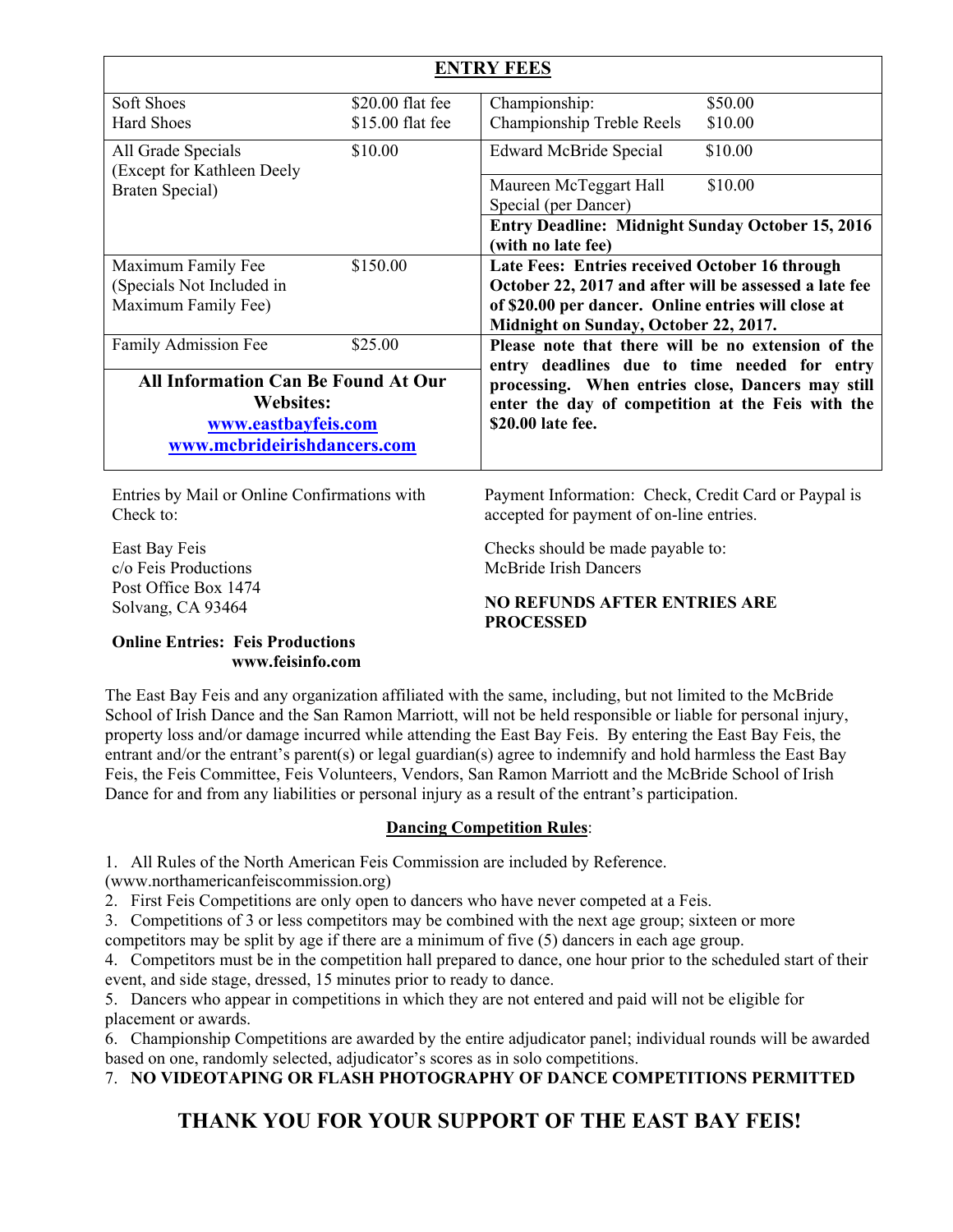|                                                                                                                      |                                      | <b>ENTRY FEES</b>                                                                                                                                                                                        |  |  |  |  |
|----------------------------------------------------------------------------------------------------------------------|--------------------------------------|----------------------------------------------------------------------------------------------------------------------------------------------------------------------------------------------------------|--|--|--|--|
| Soft Shoes<br><b>Hard Shoes</b>                                                                                      | \$20.00 flat fee<br>\$15.00 flat fee | Championship:<br>\$50.00<br>Championship Treble Reels<br>\$10.00                                                                                                                                         |  |  |  |  |
| All Grade Specials                                                                                                   | \$10.00                              | <b>Edward McBride Special</b><br>\$10.00                                                                                                                                                                 |  |  |  |  |
| (Except for Kathleen Deely<br>Braten Special)                                                                        |                                      | \$10.00<br>Maureen McTeggart Hall<br>Special (per Dancer)                                                                                                                                                |  |  |  |  |
|                                                                                                                      |                                      | <b>Entry Deadline: Midnight Sunday October 15, 2016</b><br>(with no late fee)                                                                                                                            |  |  |  |  |
| Maximum Family Fee<br>(Specials Not Included in<br>Maximum Family Fee)                                               | \$150.00                             | Late Fees: Entries received October 16 through<br>October 22, 2017 and after will be assessed a late fee<br>of \$20.00 per dancer. Online entries will close at<br>Midnight on Sunday, October 22, 2017. |  |  |  |  |
| Family Admission Fee                                                                                                 | \$25.00                              | Please note that there will be no extension of the<br>entry deadlines due to time needed for entry                                                                                                       |  |  |  |  |
| <b>All Information Can Be Found At Our</b><br><b>Websites:</b><br>www.eastbayfeis.com<br>www.mcbrideirishdancers.com |                                      | processing. When entries close, Dancers may still<br>enter the day of competition at the Feis with the<br>\$20.00 late fee.                                                                              |  |  |  |  |
| Entries by Mail or Online Confirmations with<br>Check to:                                                            |                                      | Payment Information: Check, Credit Card or Paypal is<br>accepted for payment of on-line entries.                                                                                                         |  |  |  |  |
|                                                                                                                      |                                      |                                                                                                                                                                                                          |  |  |  |  |

East Bay Feis c/o Feis Productions Post Office Box 1474 Solvang, CA 93464

Checks should be made payable to: McBride Irish Dancers

#### **NO REFUNDS AFTER ENTRIES ARE PROCESSED**

#### **Online Entries: Feis Productions www.feisinfo.com**

The East Bay Feis and any organization affiliated with the same, including, but not limited to the McBride School of Irish Dance and the San Ramon Marriott, will not be held responsible or liable for personal injury, property loss and/or damage incurred while attending the East Bay Feis. By entering the East Bay Feis, the entrant and/or the entrant's parent(s) or legal guardian(s) agree to indemnify and hold harmless the East Bay Feis, the Feis Committee, Feis Volunteers, Vendors, San Ramon Marriott and the McBride School of Irish Dance for and from any liabilities or personal injury as a result of the entrant's participation.

#### **Dancing Competition Rules**:

1. All Rules of the North American Feis Commission are included by Reference.

(www.northamericanfeiscommission.org)

2. First Feis Competitions are only open to dancers who have never competed at a Feis.

3. Competitions of 3 or less competitors may be combined with the next age group; sixteen or more

competitors may be split by age if there are a minimum of five (5) dancers in each age group.

4. Competitors must be in the competition hall prepared to dance, one hour prior to the scheduled start of their event, and side stage, dressed, 15 minutes prior to ready to dance.

5. Dancers who appear in competitions in which they are not entered and paid will not be eligible for placement or awards.

6. Championship Competitions are awarded by the entire adjudicator panel; individual rounds will be awarded based on one, randomly selected, adjudicator's scores as in solo competitions.

7. **NO VIDEOTAPING OR FLASH PHOTOGRAPHY OF DANCE COMPETITIONS PERMITTED** 

#### **THANK YOU FOR YOUR SUPPORT OF THE EAST BAY FEIS!**